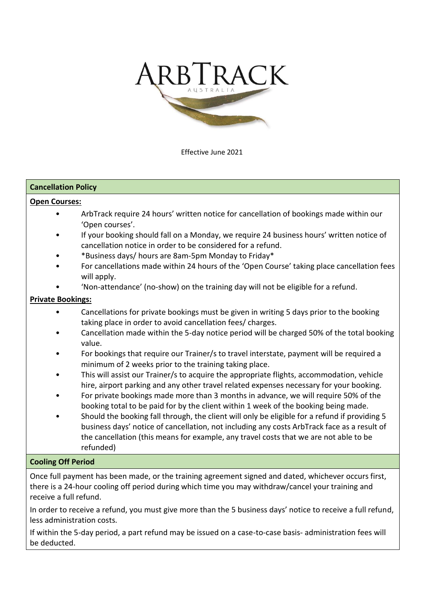

Effective June 2021

## **Cancellation Policy**

## **Open Courses:**

- ArbTrack require 24 hours' written notice for cancellation of bookings made within our 'Open courses'.
- If your booking should fall on a Monday, we require 24 business hours' written notice of cancellation notice in order to be considered for a refund.
- \*Business days/ hours are 8am-5pm Monday to Friday\*
- For cancellations made within 24 hours of the 'Open Course' taking place cancellation fees will apply.
- 'Non-attendance' (no-show) on the training day will not be eligible for a refund.

# **Private Bookings:**

- Cancellations for private bookings must be given in writing 5 days prior to the booking taking place in order to avoid cancellation fees/ charges.
- Cancellation made within the 5-day notice period will be charged 50% of the total booking value.
- For bookings that require our Trainer/s to travel interstate, payment will be required a minimum of 2 weeks prior to the training taking place.
- This will assist our Trainer/s to acquire the appropriate flights, accommodation, vehicle hire, airport parking and any other travel related expenses necessary for your booking.
- For private bookings made more than 3 months in advance, we will require 50% of the booking total to be paid for by the client within 1 week of the booking being made.
- Should the booking fall through, the client will only be eligible for a refund if providing 5 business days' notice of cancellation, not including any costs ArbTrack face as a result of the cancellation (this means for example, any travel costs that we are not able to be refunded)

## **Cooling Off Period**

Once full payment has been made, or the training agreement signed and dated, whichever occurs first, there is a 24-hour cooling off period during which time you may withdraw/cancel your training and receive a full refund.

In order to receive a refund, you must give more than the 5 business days' notice to receive a full refund, less administration costs.

If within the 5-day period, a part refund may be issued on a case-to-case basis- administration fees will be deducted.